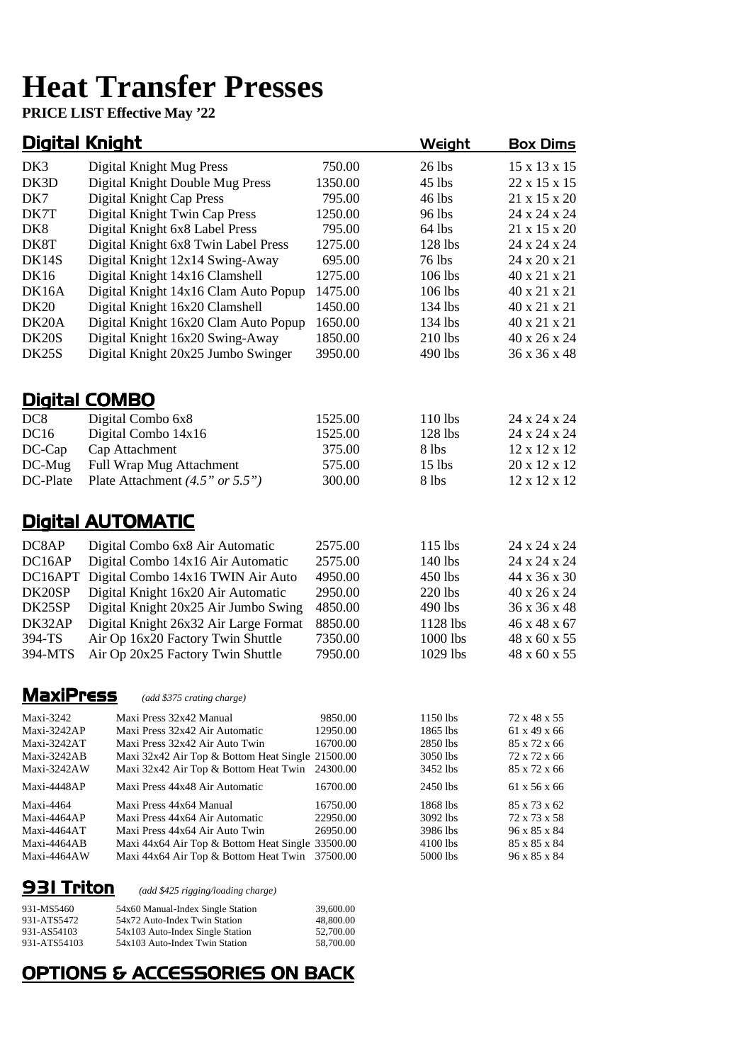# **Heat Transfer Presses**

**PRICE LIST Effective May '22** 

#### Digital Knight Weight Box Dims

| DK3                        | Digital Knight Mug Press                                                           | 750.00              | 26 lbs               | 15 x 13 x 15                 |
|----------------------------|------------------------------------------------------------------------------------|---------------------|----------------------|------------------------------|
| DK3D                       | Digital Knight Double Mug Press                                                    | 1350.00             | $45$ lbs             | 22 x 15 x 15                 |
| DK7                        | Digital Knight Cap Press                                                           | 795.00              | 46 lbs               | 21 x 15 x 20                 |
| DK7T                       | Digital Knight Twin Cap Press                                                      | 1250.00             | 96 lbs               | 24 x 24 x 24                 |
| DK <sub>8</sub>            | Digital Knight 6x8 Label Press                                                     | 795.00              | 64 lbs               | 21 x 15 x 20                 |
| DK8T                       | Digital Knight 6x8 Twin Label Press                                                | 1275.00             | $128$ lbs            | 24 x 24 x 24                 |
| DK14S                      | Digital Knight 12x14 Swing-Away                                                    | 695.00              | 76 lbs               | 24 x 20 x 21                 |
| <b>DK16</b>                | Digital Knight 14x16 Clamshell                                                     | 1275.00             | 106 lbs              | 40 x 21 x 21                 |
| DK16A                      | Digital Knight 14x16 Clam Auto Popup                                               | 1475.00             | 106 lbs              | 40 x 21 x 21                 |
| <b>DK20</b>                | Digital Knight 16x20 Clamshell                                                     | 1450.00             | 134 lbs              | 40 x 21 x 21                 |
| DK <sub>20</sub> A         | Digital Knight 16x20 Clam Auto Popup                                               | 1650.00             | 134 lbs              | 40 x 21 x 21                 |
| DK <sub>20</sub> S         | Digital Knight 16x20 Swing-Away                                                    | 1850.00             | 210 lbs              | 40 x 26 x 24                 |
| DK25S                      | Digital Knight 20x25 Jumbo Swinger                                                 | 3950.00             | 490 lbs              | 36 x 36 x 48                 |
|                            |                                                                                    |                     |                      |                              |
|                            | <b>Digital COMBO</b>                                                               |                     |                      |                              |
| DC <sub>8</sub>            | Digital Combo 6x8                                                                  | 1525.00             | 110 lbs              | 24 x 24 x 24                 |
| DC16                       | Digital Combo 14x16                                                                | 1525.00             | 128 lbs              | 24 x 24 x 24                 |
| DC-Cap                     | Cap Attachment                                                                     | 375.00              | 8 lbs                | 12 x 12 x 12                 |
| DC-Mug                     | Full Wrap Mug Attachment                                                           | 575.00              | $15$ lbs             | 20 x 12 x 12                 |
| DC-Plate                   | Plate Attachment $(4.5" or 5.5")$                                                  | 300.00              | 8 lbs                | 12 x 12 x 12                 |
|                            | <b>Digital AUTOMATIC</b>                                                           |                     |                      |                              |
|                            |                                                                                    |                     |                      |                              |
| DC8AP                      | Digital Combo 6x8 Air Automatic                                                    | 2575.00             | 115 lbs              | 24 x 24 x 24                 |
| DC16AP                     | Digital Combo 14x16 Air Automatic                                                  | 2575.00             | 140 lbs              | 24 x 24 x 24                 |
| DC16APT                    | Digital Combo 14x16 TWIN Air Auto                                                  | 4950.00             | 450 lbs              | 44 x 36 x 30                 |
| DK20SP                     | Digital Knight 16x20 Air Automatic                                                 | 2950.00             | 220 lbs              | 40 x 26 x 24                 |
| DK25SP                     | Digital Knight 20x25 Air Jumbo Swing                                               | 4850.00             | 490 lbs              | 36 x 36 x 48                 |
| DK32AP                     | Digital Knight 26x32 Air Large Format                                              | 8850.00             | 1128 lbs             | 46 x 48 x 67                 |
| 394-TS                     | Air Op 16x20 Factory Twin Shuttle                                                  | 7350.00             | 1000 lbs             | 48 x 60 x 55                 |
| 394-MTS                    | Air Op 20x25 Factory Twin Shuttle                                                  | 7950.00             | 1029 lbs             | 48 x 60 x 55                 |
| <b>MaxiPress</b>           | (add \$375 crating charge)                                                         |                     |                      |                              |
|                            |                                                                                    |                     |                      |                              |
| Maxi-3242<br>Maxi-3242AP   | Maxi Press 32x42 Manual<br>Maxi Press 32x42 Air Automatic                          | 9850.00<br>12950.00 | 1150 lbs<br>1865 lbs | 72 x 48 x 55<br>61 x 49 x 66 |
| Maxi-3242AT                | Maxi Press 32x42 Air Auto Twin                                                     | 16700.00            | 2850 lbs             | 85 x 72 x 66                 |
| Maxi-3242AB                | Maxi 32x42 Air Top & Bottom Heat Single 21500.00                                   |                     | 3050 lbs             | 72 x 72 x 66                 |
| Maxi-3242AW                | Maxi 32x42 Air Top & Bottom Heat Twin 24300.00                                     |                     | 3452 lbs             | 85 x 72 x 66                 |
| Maxi-4448AP                | Maxi Press 44x48 Air Automatic                                                     | 16700.00            | 2450 lbs             | 61 x 56 x 66                 |
| Maxi-4464                  | Maxi Press 44x64 Manual                                                            | 16750.00            | 1868 lbs             | 85 x 73 x 62                 |
| Maxi-4464AP                | Maxi Press 44x64 Air Automatic                                                     | 22950.00            | 3092 lbs             | 72 x 73 x 58                 |
| Maxi-4464AT<br>Maxi-4464AB | Maxi Press 44x64 Air Auto Twin<br>Maxi 44x64 Air Top & Bottom Heat Single 33500.00 | 26950.00            | 3986 lbs<br>4100 lbs | 96 x 85 x 84<br>85 x 85 x 84 |
| Maxi-4464AW                | Maxi 44x64 Air Top & Bottom Heat Twin 37500.00                                     |                     | 5000 lbs             | 96 x 85 x 84                 |
|                            |                                                                                    |                     |                      |                              |

931 Triton *(add \$425 rigging/loading charge)*

| 931-MS5460   | 54x60 Manual-Index Single Station | 39,600.00 |
|--------------|-----------------------------------|-----------|
| 931-ATS5472  | 54x72 Auto-Index Twin Station     | 48,800.00 |
| 931-AS54103  | 54x103 Auto-Index Single Station  | 52,700.00 |
| 931-ATS54103 | 54x103 Auto-Index Twin Station    | 58,700.00 |

# OPTIONS & ACCESSORIES ON BACK